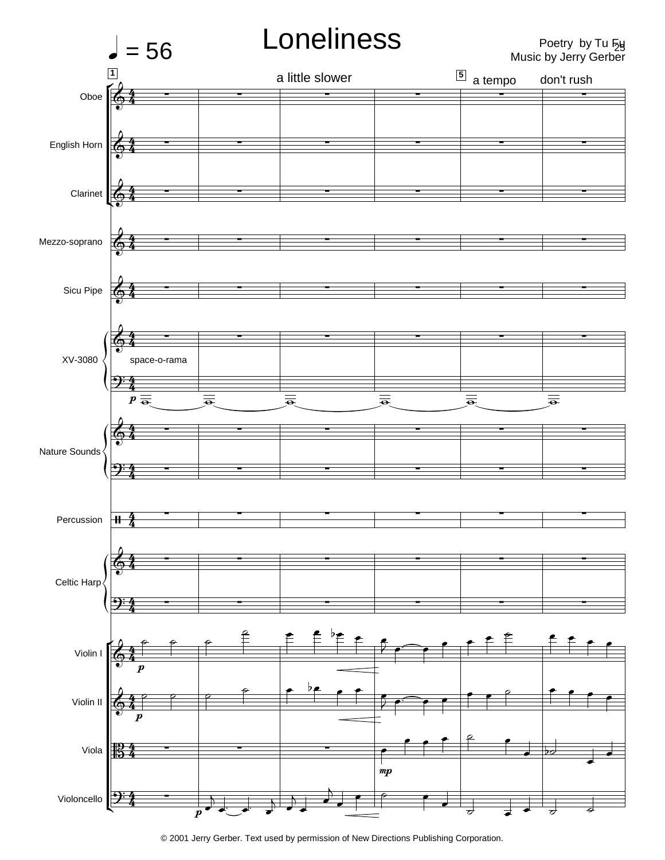



<sup>© 2001</sup> Jerry Gerber. Text used by permission of New Directions Publishing Corporation.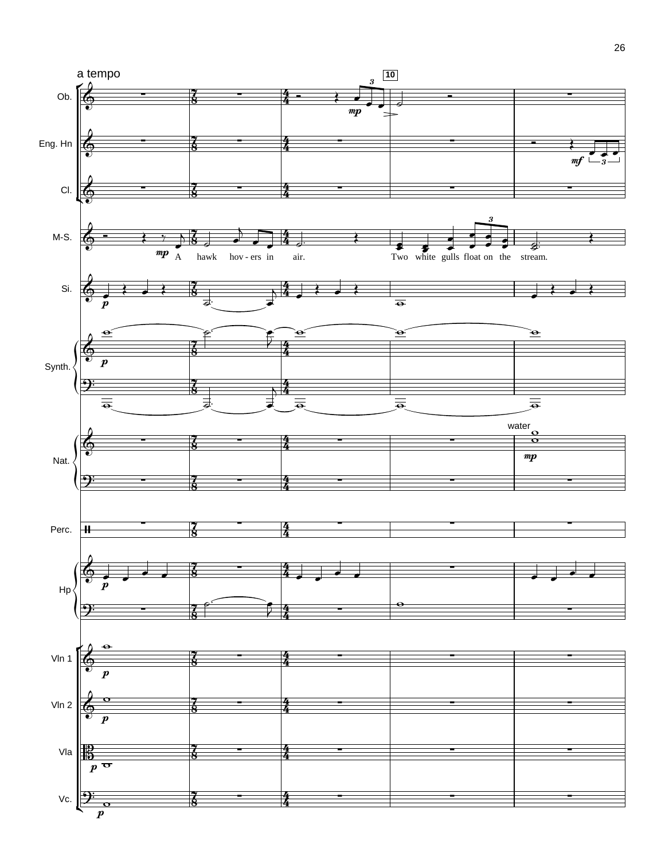

26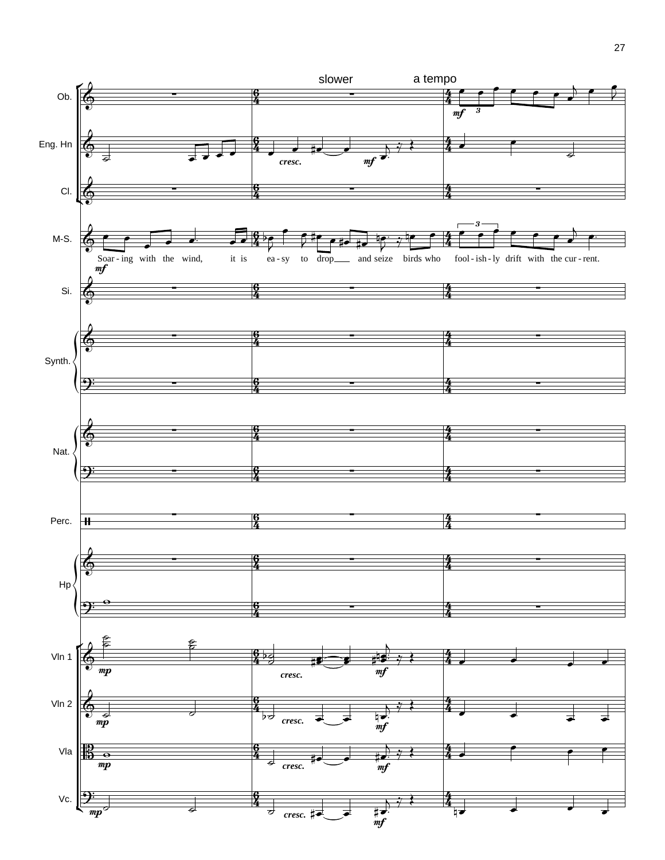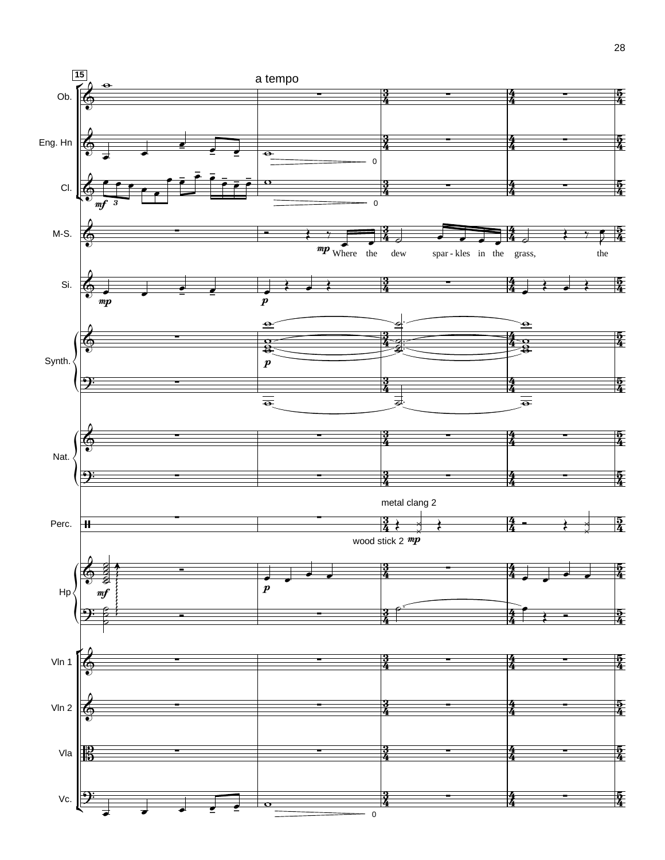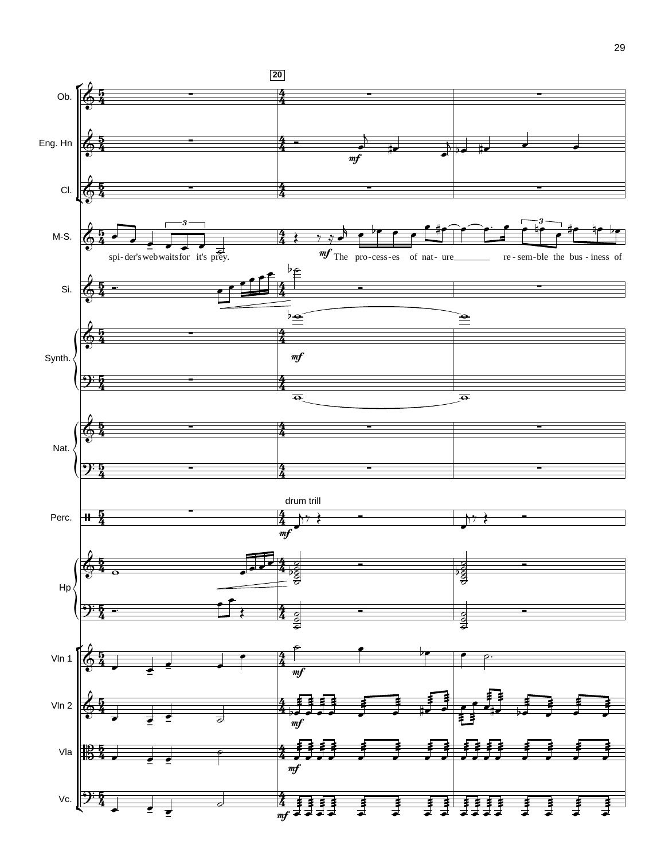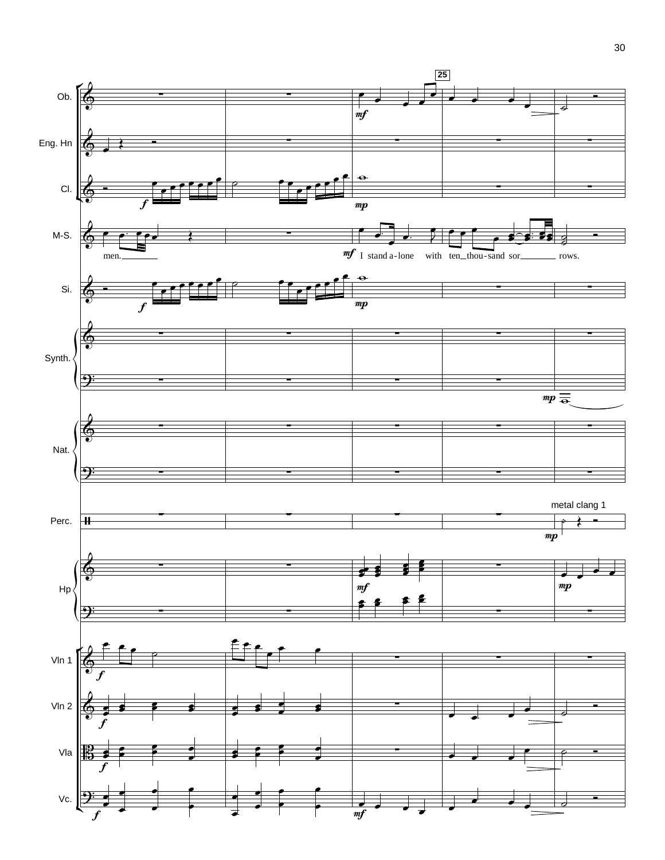